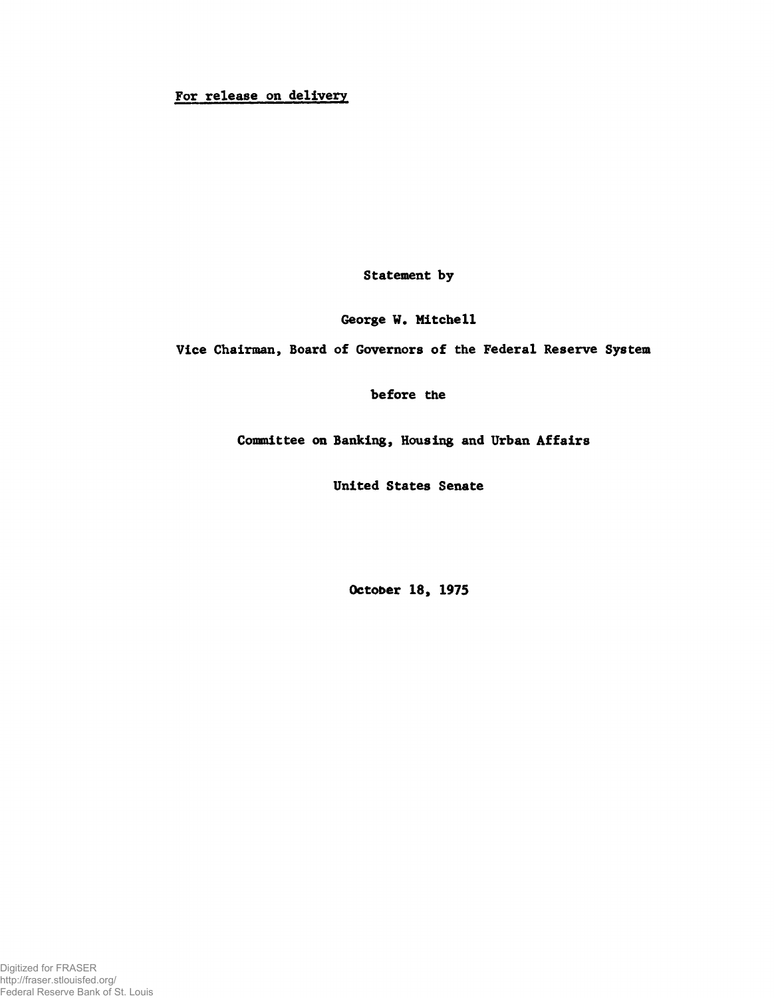# For release on delivery

Statement by

George W. Mitchell

Vice Chairman, Board of Governors of the Federal Reserve System

before the

Committee on Banking, Housing and Urban Affairs

United States Senate

October 18, 1975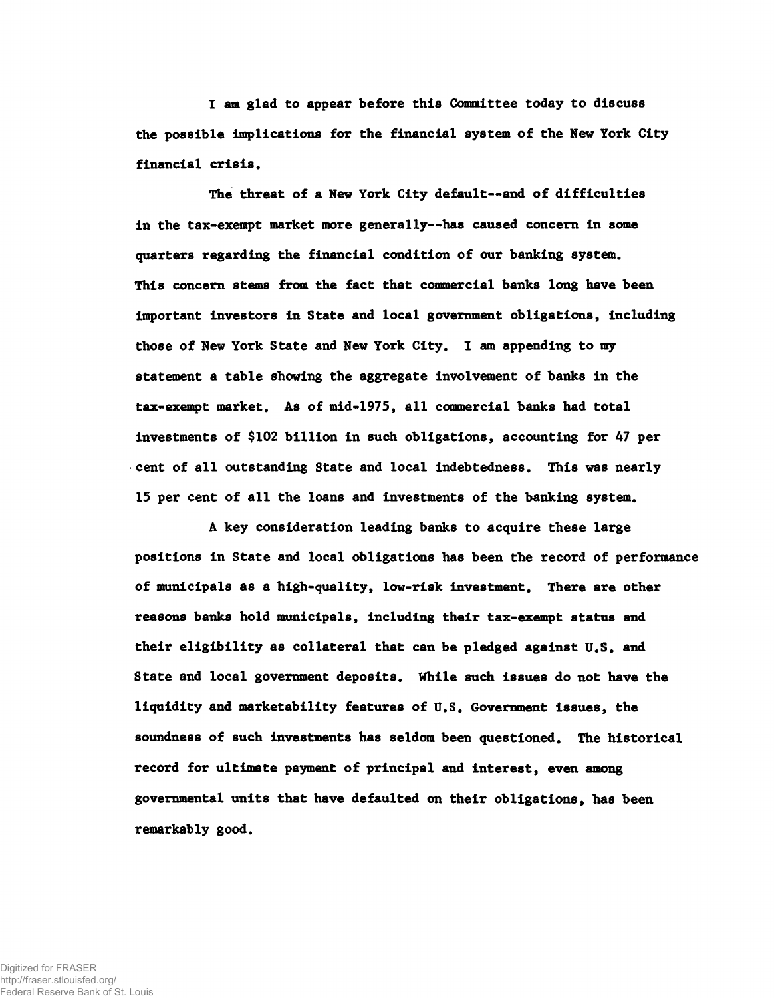I am glad to appear before this Committee today to discuss the possible implications for the financial system of the New York City financial crisis.

The threat of a New York City default— and of difficulties in the tax-exempt market more generally— has caused concern in some quarters regarding the financial condition of our banking system. This concern stems from the fact that commercial banks long have been important investors in State and local government obligations, including those of New York State and New York City. I am appending to my statement a table showing the aggregate involvement of banks in the tax-exempt market. As of mid-1975, all commercial banks had total investments of \$102 billion in such obligations, accounting for 47 per • cent of all outstanding State and local indebtedness. This was nearly 15 per cent of all the loans and investments of the banking system.

A key consideration leading banks to acquire these large positions in State and local obligations has been the record of performance of municipals as a high-quality, low-risk investment. There are other reasons banks hold municipals, including their tax-exempt status and their eligibility as collateral that can be pledged against U.S. and State and local government deposits. While such issues do not have the liquidity and marketability features of U.S. Government issues, the soundness of such investments has seldom been questioned. The historical record for ultimate payment of principal and interest, even among governmental units that have defaulted on their obligations, has been remarkably good.

Digitized for FRASER http://fraser.stlouisfed.org/ Federal Reserve Bank of St. Louis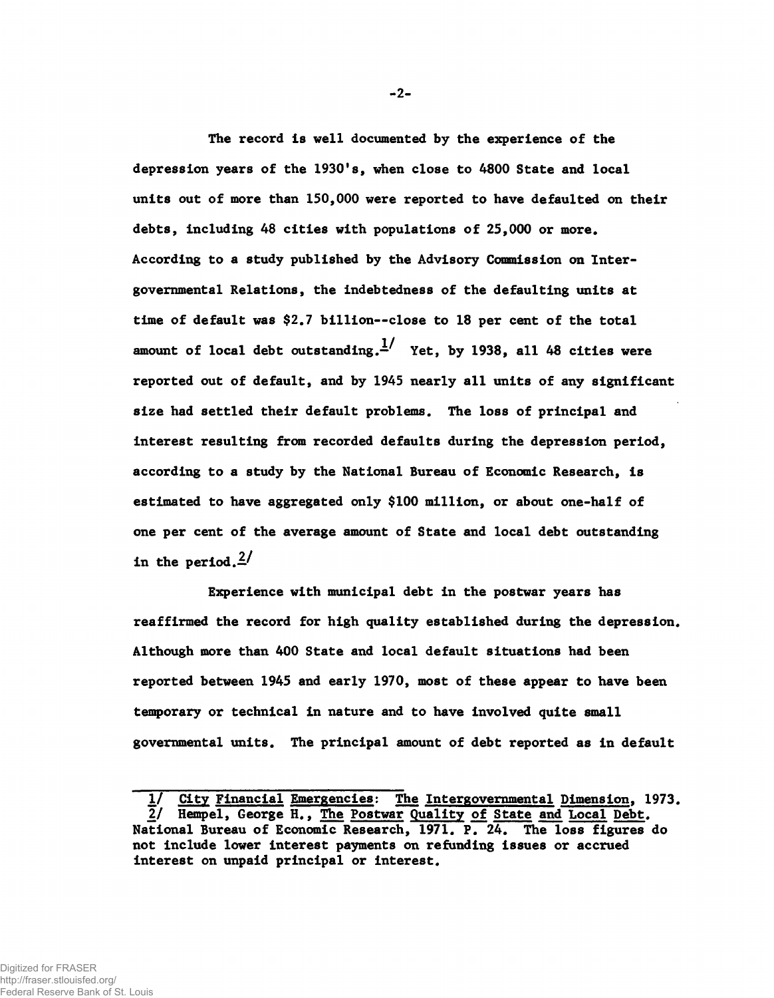The record is well documented by the experience of the depression years of the 1930's, when close to 4800 State and local units out of more than 150,000 were reported to have defaulted on their debts, including 48 cities with populations of 25,000 or more. According to a study published by the Advisory Commission on Intergovernmental Relations, the indebtedness of the defaulting units at time of default was \$2.7 billion--close to 18 per cent of the total amount of local debt outstanding.  $\frac{1}{1}$  Yet, by 1938, all 48 cities were reported out of default, and by 1945 nearly all units of any significant size had settled their default problems. The loss of principal and interest resulting from recorded defaults during the depression period, according to a study by the National Bureau of Economic Research, is estimated to have aggregated only \$100 million, or about one-half of one per cent of the average amount of State and local debt outstanding in the period. $\frac{2}{3}$ 

Experience with municipal debt in the postwar years has reaffirmed the record for high quality established during the depression. Although more than 400 State and local default situations had been reported between 1945 and early 1970, most of these appear to have been temporary or technical in nature and to have involved quite small governmental units. The principal amount of debt reported as in default

2-

<sup>1/</sup> City Financial Emergencies: The Intergovernmental Dimension, 1973. 2/ Hempel, George H., The Postwar Quality of State and Local Debt. National Bureau of Economic Research, 1971. P. 24. The loss figures do not include lower interest payments on refunding issues or accrued interest on unpaid principal or interest.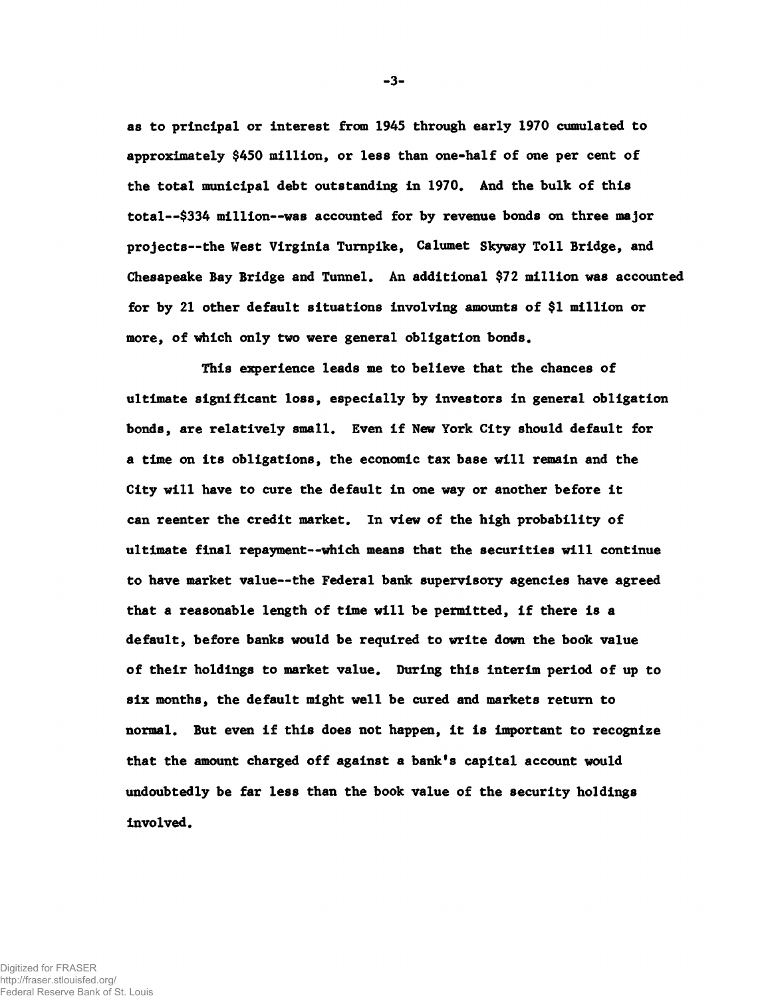as to principal or interest from 1945 through early 1970 cumulated to approximately \$450 million, or less than one-half of one per cent of the total municipal debt outstanding in 1970. And the bulk of this total— \$334 million— was accounted for by revenue bonds on three major projects— the West Virginia Turnpike, Calumet Skyway Toll Bridge, and Chesapeake Bay Bridge and Tunnel. An additional \$72 million was accounted for by 21 other default situations involving amounts of \$1 million or more, of which only two were general obligation bonds.

This experience leads me to believe that the chances of ultimate significant loss, especially by investors in general obligation bonds, are relatively small. Even if New York City should default for a time on its obligations, the economic tax base will remain and the City will have to cure the default in one way or another before it can reenter the credit market. In view of the high probability of ultimate final repayment— which means that the securities will continue to have market value— the Federal bank supervisory agencies have agreed that a reasonable length of time will be permitted, if there is a default, before banks would be required to write down the book value of their holdings to market value. During this interim period of up to six months, the default might well be cured and markets return to normal. But even if this does not happen, it is important to recognize that the amount charged off against a bank's capital account would undoubtedly be far less than the book value of the security holdings involved.

-3-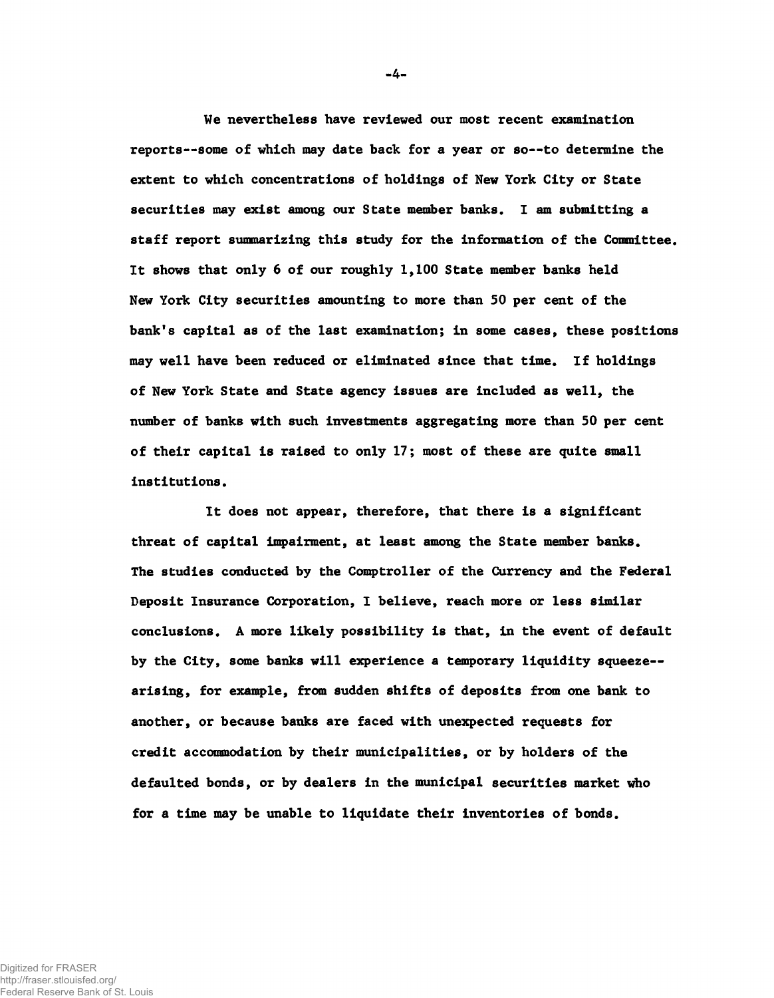We nevertheless have reviewed our most recent examination reports--some of which may date back for a year or so--to determine the extent to which concentrations of holdings of New York City or State securities may exist among our State member banks. 1 am submitting a staff report summarizing this study for the information of the Committee. It shows that only 6 of our roughly 1,100 State member banks held New York City securities amounting to more than 50 per cent of the bank'8 capital as of the last examination; in some cases, these positions may well have been reduced or eliminated since that time. If holdings of New York State and State agency issues are included as well, the number of banks with such investments aggregating more than 50 per cent of their capital is raised to only 17; most of these are quite small institutions.

It does not appear, therefore, that there is a significant threat of capital impairment, at least among the State member banks. The studies conducted by the Comptroller of the Currency and the Federal Deposit Insurance Corporation, I believe, reach more or less similar conclusions. A more likely possibility is that, in the event of default by the City, some banks will experience a temporary liquidity squeeze-arising, for example, from sudden shifts of deposits from one bank to another, or because banks are faced with unexpected requests for credit accommodation by their municipalities, or by holders of the defaulted bonds, or by dealers in the municipal securities market who for a time may be unable to liquidate their inventories of bonds.

-4-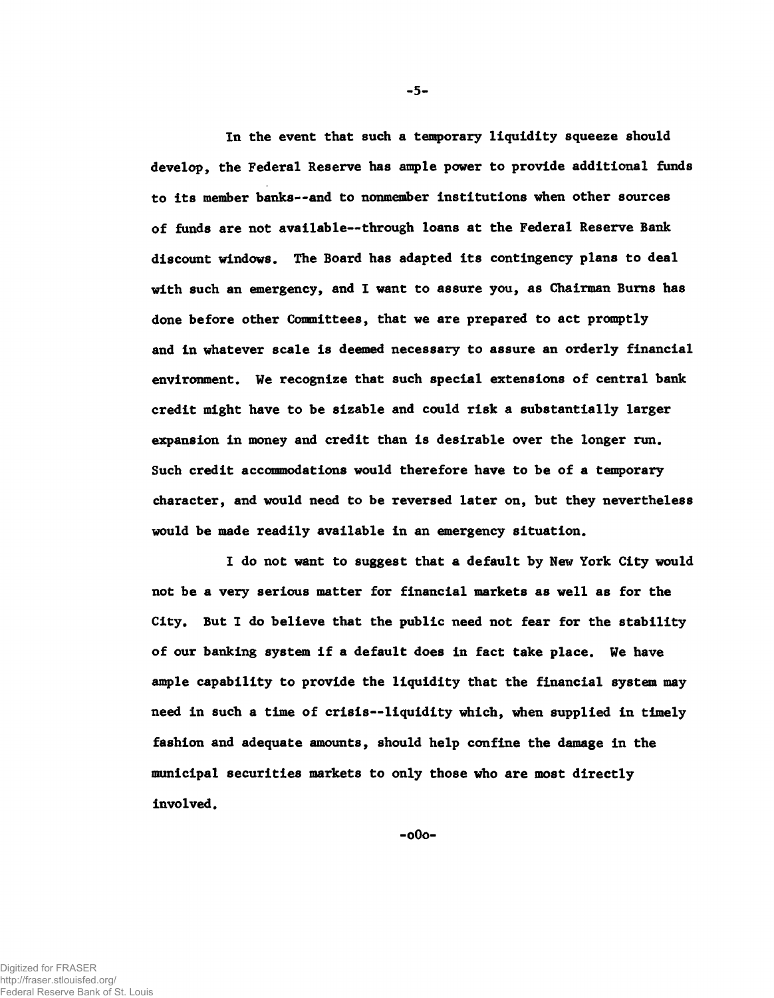In the event that such a temporary liquidity squeeze should develop, the Federal Reserve has ample power to provide additional funds to its member banks— and to nonmember institutions when other sources of funds are not available— through loans at the Federal Reserve Bank discount windows. The Board has adapted its contingency plans to deal with such an emergency, and I want to assure you, as Chairman Burns has done before other Committees, that we are prepared to act promptly and in whatever scale is deemed necessary to assure an orderly financial environment. We recognize that such special extensions of central bank credit might have to be sizable and could risk a substantially larger expansion in money and credit than is desirable over the longer run, Such credit accommodations would therefore have to be of a temporary character, and would need to be reversed later on, but they nevertheless would be made readily available in an emergency situation.

I do not want to suggest that a default by New York City would not be a very serious matter for financial markets as well as for the City. But I do believe that the public need not fear for the stability of our banking system if a default does in fact take place. We have ample capability to provide the liquidity that the financial system may need in such a time of crisis— liquidity which, when supplied in timely fashion and adequate amounts, should help confine the damage in the municipal securities markets to only those who are most directly involved.

-0O0-

 $-5-$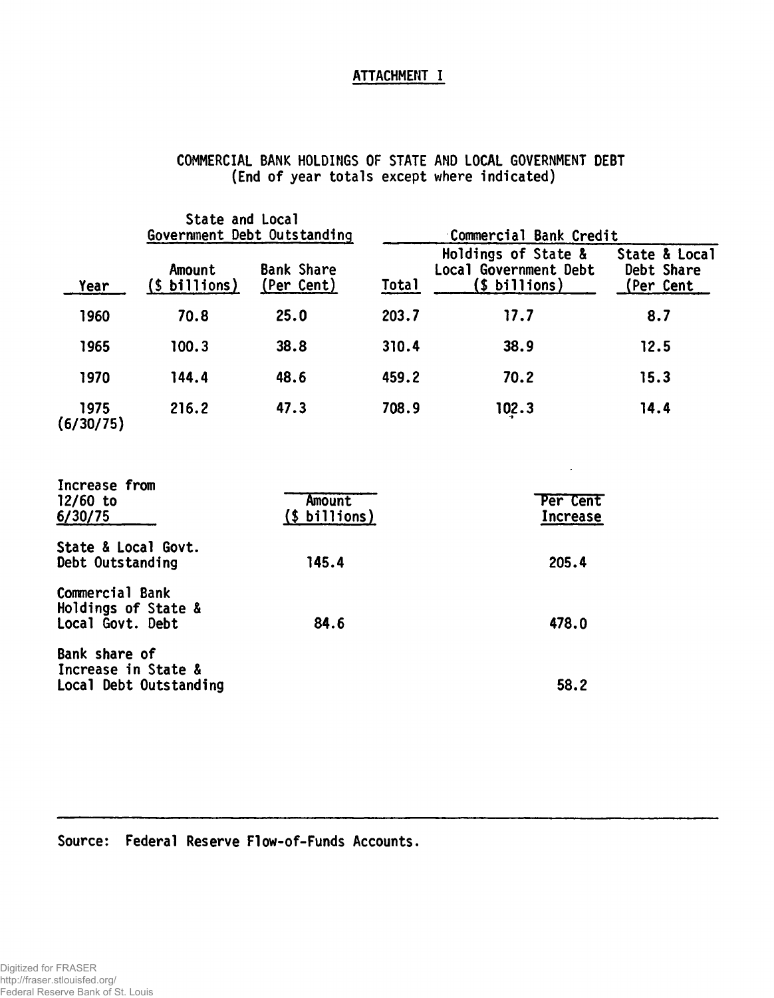## ATTACHMENT I

|                                                            | State and Local          | Government Debt Outstanding          |       | Commercial Bank Credit                                        |                                                 |  |
|------------------------------------------------------------|--------------------------|--------------------------------------|-------|---------------------------------------------------------------|-------------------------------------------------|--|
| Year                                                       | Amount<br>$(s$ billions) | <b>Bank Share</b><br>(Per Cent)      | Total | Holdings of State &<br>Local Government Debt<br>(\$ billions) | State & Local<br>Debt Share<br><u>(Per Cent</u> |  |
| 1960                                                       | 70.8                     | 25.0                                 | 203.7 | 17.7                                                          | 8.7                                             |  |
| 1965                                                       | 100.3                    | 38.8                                 | 310.4 | 38.9                                                          | 12.5                                            |  |
| 1970                                                       | 144.4                    | 48.6                                 | 459.2 | 70.2                                                          | 15.3                                            |  |
| 1975<br>(6/30/75)                                          | 216.2                    | 47.3                                 | 708.9 | 102.3                                                         | 14.4                                            |  |
| Increase from<br>$12/60$ to<br>6/30/75                     |                          | <b>Amount</b><br>$($ \$ billions $)$ |       | Per Cent<br>Increase                                          |                                                 |  |
| State & Local Govt.<br>Debt Outstanding                    |                          | 145.4                                |       | 205.4                                                         |                                                 |  |
| Commercial Bank<br>Holdings of State &<br>Local Govt. Debt |                          | 84.6                                 |       | 478.0                                                         |                                                 |  |
| Bank share of<br>Increase in State &                       | Local Debt Outstanding   |                                      |       | 58.2                                                          |                                                 |  |

## COMMERCIAL BANK HOLDINGS OF STATE AND LOCAL GOVERNMENT DEBT (End of year totals except where indicated)

## Source: Federal Reserve Flow-of-Funds Accounts.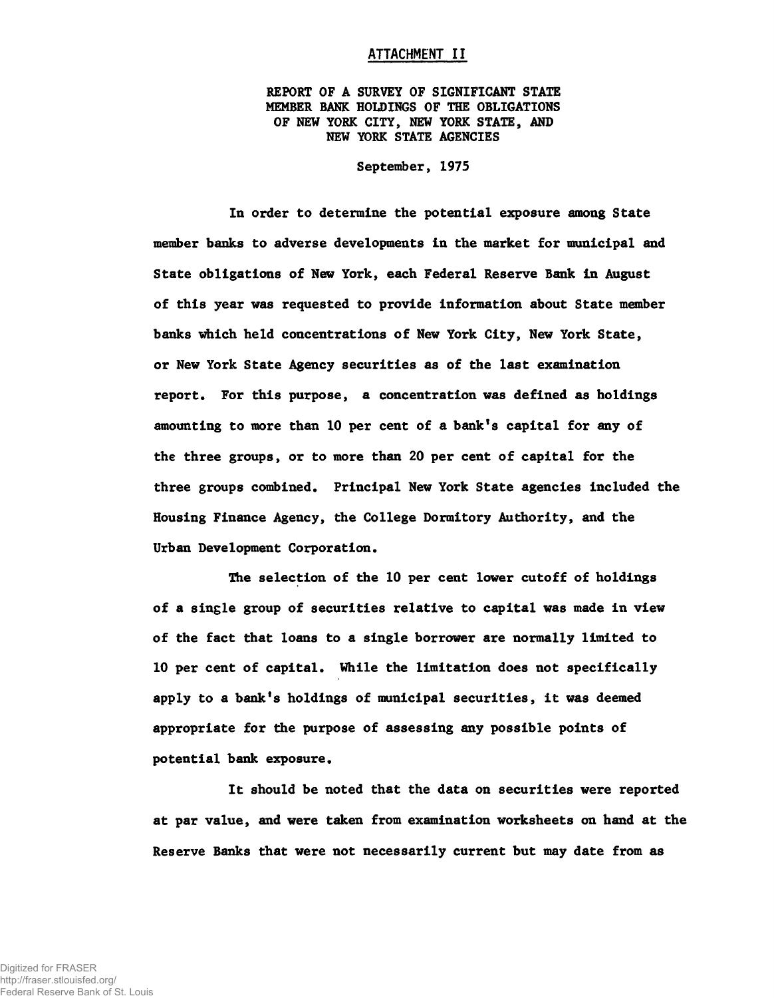#### ATTACHMENT II

REPORT OF A SURVEY OF SIGNIFICANT STATE MEMBER BANK HOLDINGS OF THE OBLIGATIONS OF NEW YORK CITY, NEW YORK STATE, AND NEW YORK STATE AGENCIES

September, 1975

In order to determine the potential exposure among State member banks to adverse developments in the market for municipal and State obligations of New York, each Federal Reserve Bank in August of this year was requested to provide information about State member banks which held concentrations of New York City, New York State, or New York State Agency securities as of the last examination report. For this purpose, a concentration was defined as holdings amounting to more than 10 per cent of a bank's capital for any of the three groups, or to more than 20 per cent of capital for the three groups combined. Principal New York State agencies included the Housing Finance Agency, the College Dormitory Authority, and the Urban Development Corporation.

The selection of the 10 per cent lower cutoff of holdings of a single group of securities relative to capital was made in view of the fact that loans to a single borrower are normally limited to 10 per cent of capital. While the limitation does not specifically apply to a bank's holdings of municipal securities, it was deemed appropriate for the purpose of assessing any possible points of potential bank exposure.

It should be noted that the data on securities were reported at par value, and were taken from examination worksheets on hand at the Reserve Banks that were not necessarily current but may date from as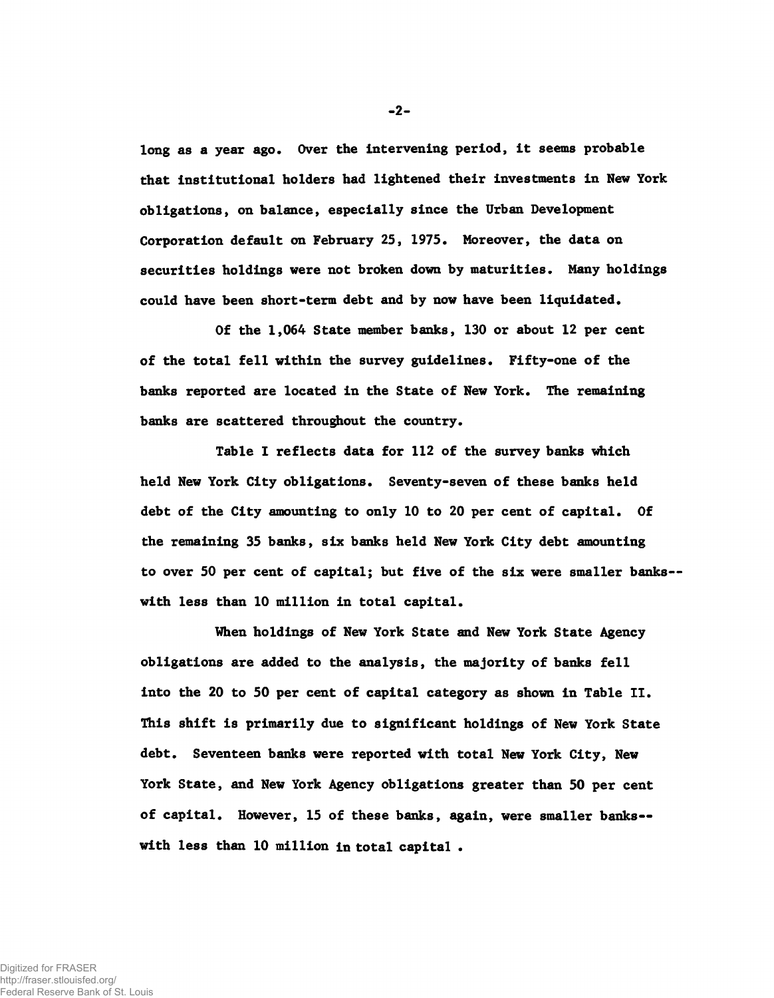long as a year ago. Over the intervening period, it seems probable that institutional holders had lightened their investments in New York obligations, on balance, especially since the Urban Development Corporation default on February 25, 1975. Moreover, the data on securities holdings were not broken down by maturities. Many holdings could have been short-term debt and by now have been liquidated.

Of the 1,064 State member banks, 130 or about 12 per cent of the total fell within the survey guidelines. Fifty-one of the banks reported are located in the State of New York. The remaining banks are scattered throughout the country.

Table I reflects data for 112 of the survey banks which held New York City obligations. Seventy-seven of these banks held debt of the City amounting to only 10 to 20 per cent of capital. Of the remaining 35 banks, six banks held New York City debt amounting to over 50 per cent of capital; but five of the six were smaller banks-with less than 10 million in total capital.

When holdings of New York State and New York State Agency obligations are added to the analysis, the majority of banks fell into the 20 to 50 per cent of capital category as shown in Table II. This shift is primarily due to significant holdings of New York State debt. Seventeen banks were reported with total New York City, New York State, and New York Agency obligations greater than 50 per cent of capital. However, 15 of these banks, again, were smaller banks with less than 10 million in total capital .

-2-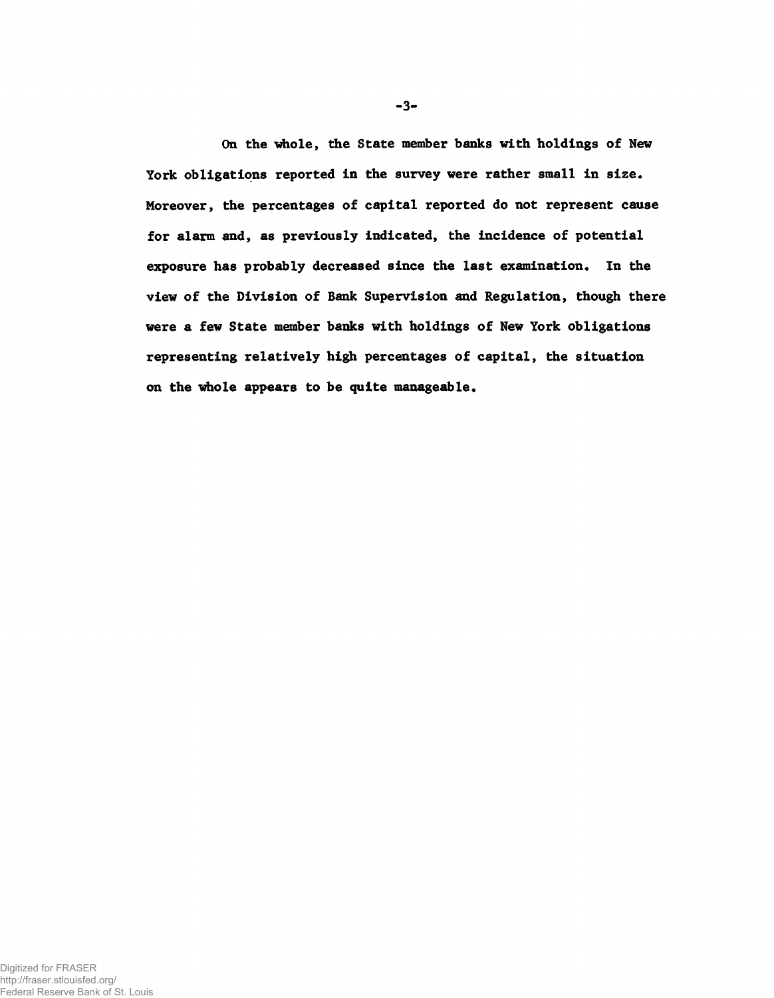On the whole, the State member banks with holdings of New York obligations reported in the survey were rather small in size. Moreover, the percentages of capital reported do not represent cause for alarm and, as previously indicated, the incidence of potential exposure has probably decreased since the last examination. In the view of the Division of Bank Supervision and Regulation, though there were a few State member banks with holdings of New York obligations representing relatively high percentages of capital, the situation on the whole appears to be quite manageable.